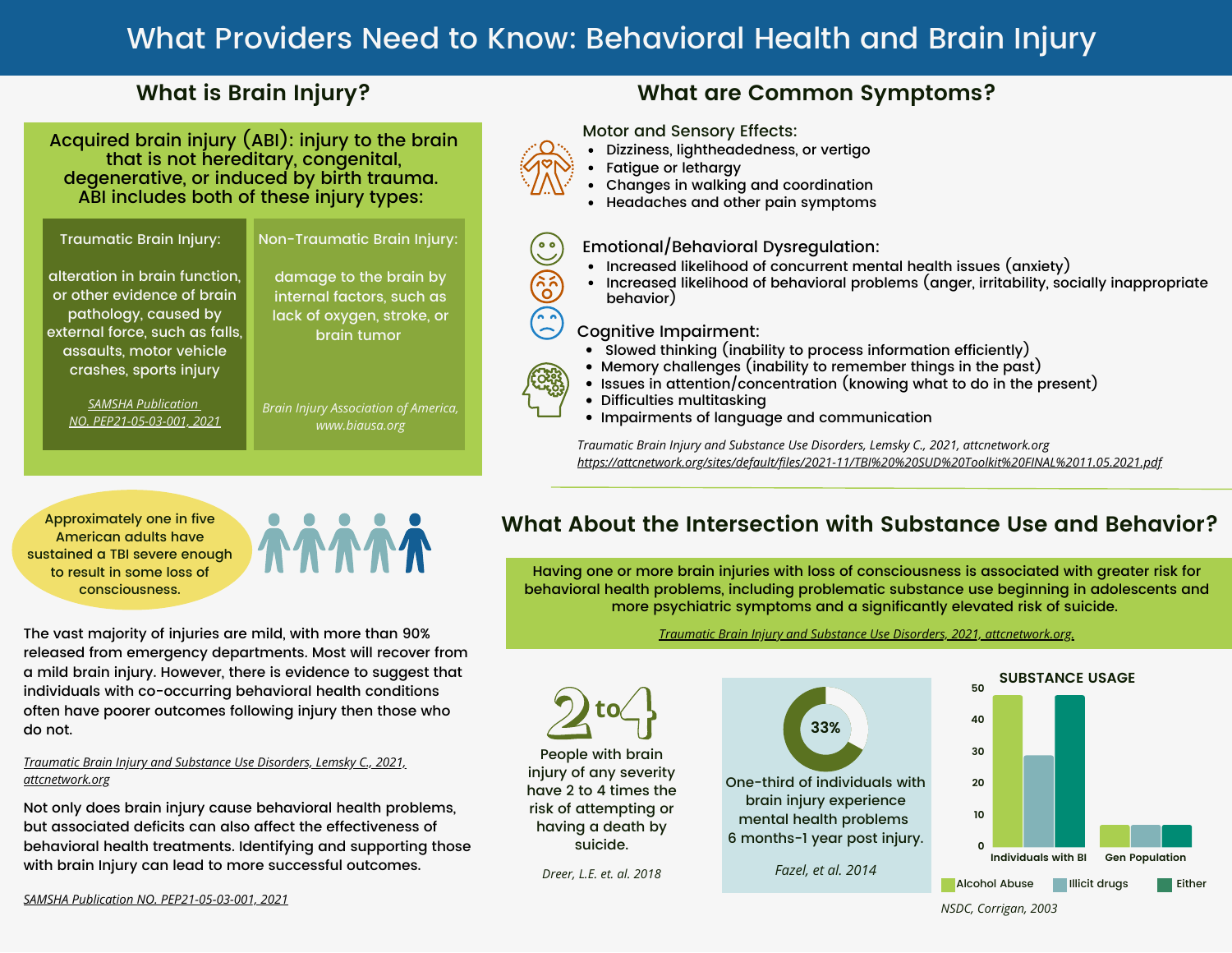# What Providers Need to Know: Behavioral Health and Brain Injury

### **What is Brain Injury?**

Acquired brain injury (ABI): injury to the brain that is not hereditary, congenital, degenerative, or induced by birth trauma. ABI includes both of these injury types:

#### Traumatic Brain Injury:

Non-Traumatic Brain Injury:

alteration in brain function, or other evidence of brain pathology, caused by external force, such as falls, assaults, motor vehicle crashes, sports injury

> *[SAMSHA Publication](https://store.samhsa.gov/product/treating-patients-with-traumatic-brain-injury/PEP21-05-03-001) [NO. PEP21-05-03-001, 2021](https://store.samhsa.gov/product/treating-patients-with-traumatic-brain-injury/PEP21-05-03-001)*

damage to the brain by internal factors, such as lack of oxygen, stroke, or brain tumor

*Brain Injury Association of America, www.biausa.org*

### **What are Common Symptoms?**

Motor and Sensory Effects:

- Dizziness, lightheadedness, or vertigo
- Fatigue or lethargy
- Changes in walking and coordination
- Headaches and other pain symptoms



### Emotional/Behavioral Dysregulation:

- Increased likelihood of concurrent mental health issues (anxiety)
- Increased likelihood of behavioral problems (anger, irritability, socially inappropriate behavior)

### Cognitive Impairment:

- Slowed thinking (inability to process information efficiently)
- Memory challenges (inability to remember things in the past)
- Issues in attention/concentration (knowing what to do in the present)
- Difficulties multitasking
- Impairments of language and communication

*Traumatic Brain Injury and Substance Use Disorders, Lemsky C., 2021, attcnetwork.org <https://attcnetwork.org/sites/default/files/2021-11/TBI%20%20SUD%20Toolkit%20FINAL%2011.05.2021.pdf>*

Approximately one in five American adults have sustained a TBI severe enough to result in some loss of consciousness.



### The vast majority of injuries are mild, with more than 90% released from emergency departments. Most will recover from a mild brain injury. However, there is evidence to suggest that individuals with co-occurring behavioral health conditions often have poorer outcomes following injury then those who do not.

*Traumatic Brain Injury and Substance Use Disorders, Lemsky C., 2021, [attcnetwork.org](https://attcnetwork.org/sites/default/files/2021-11/TBI%20%20SUD%20Toolkit%20FINAL%2011.05.2021.pdf)*

Not only does brain injury cause behavioral health problems, but associated deficits can also affect the effectiveness of behavioral health treatments. Identifying and supporting those with brain Injury can lead to more successful outcomes.

### **What About the Intersection with Substance Use and Behavior?**

Having one or more brain injuries with loss of consciousness is associated with greater risk for behavioral health problems, including problematic substance use beginning in adolescents and more psychiatric symptoms and a significantly elevated risk of suicide.

#### *[Traumatic Brain Injury and Substance Use Disorders, 2021, attcnetwork.org.](https://attcnetwork.org/sites/default/files/2021-11/TBI%20%20SUD%20Toolkit%20FINAL%2011.05.2021.pdf)*



*SAMSHA Publication NO. [PEP21-05-03-001,](https://store.samhsa.gov/product/treating-patients-with-traumatic-brain-injury/PEP21-05-03-001) 2021*